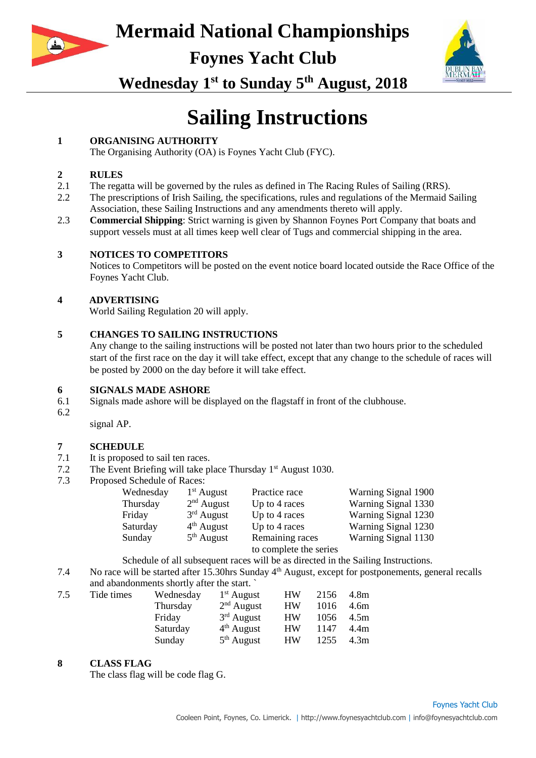

**Foynes Yacht Club**



**Wednesday 1st to Sunday 5th August, 2018**

# **Sailing Instructions**

#### **1 ORGANISING AUTHORITY**

The Organising Authority (OA) is Foynes Yacht Club (FYC).

#### **2 RULES**

- 2.1 The regatta will be governed by the rules as defined in The Racing Rules of Sailing (RRS).
- 2.2 The prescriptions of Irish Sailing, the specifications, rules and regulations of the Mermaid Sailing Association, these Sailing Instructions and any amendments thereto will apply.
- 2.3 **Commercial Shipping**: Strict warning is given by Shannon Foynes Port Company that boats and support vessels must at all times keep well clear of Tugs and commercial shipping in the area.

#### **3 NOTICES TO COMPETITORS**

Notices to Competitors will be posted on the event notice board located outside the Race Office of the Foynes Yacht Club.

#### **4 ADVERTISING**

World Sailing Regulation 20 will apply.

#### **5 CHANGES TO SAILING INSTRUCTIONS**

Any change to the sailing instructions will be posted not later than two hours prior to the scheduled start of the first race on the day it will take effect, except that any change to the schedule of races will be posted by 2000 on the day before it will take effect.

#### **6 SIGNALS MADE ASHORE**

- 6.1 Signals made ashore will be displayed on the flagstaff in front of the clubhouse.
- 6.2 :KHODSLGLSODHGDKUHRLWHLWHSODFHGZWKWOHWELLWHWKUDFH signal AP.

#### **7 SCHEDULE**

- 7.1 It is proposed to sail ten races.<br>7.2 The Event Briefing will take n
- The Event Briefing will take place Thursday  $1<sup>st</sup>$  August 1030.
- 7.3 Proposed Schedule of Races:

| Wednesday | $1st$ August | Practice race                             | Warning Signal 1900 |
|-----------|--------------|-------------------------------------------|---------------------|
| Thursday  | $2nd$ August | Up to 4 races                             | Warning Signal 1330 |
| Friday    | $3rd$ August | Up to 4 races                             | Warning Signal 1230 |
| Saturday  | $4th$ August | Up to 4 races                             | Warning Signal 1230 |
| Sunday    | $5th$ August | Remaining races<br>to complete the series | Warning Signal 1130 |
|           |              |                                           |                     |

Schedule of all subsequent races will be as directed in the Sailing Instructions.

7.4 No race will be started after 15.30hrs Sunday 4th August, except for postponements, general recalls and abandonments shortly after the start. `

| Tide times | Wednesday | $1st$ August | <b>HW</b> | 2156 | 4.8m |
|------------|-----------|--------------|-----------|------|------|
|            | Thursday  | $2nd$ August | <b>HW</b> | 1016 | 4.6m |
|            | Friday    | $3rd$ August | <b>HW</b> | 1056 | 4.5m |
|            | Saturday  | $4th$ August | <b>HW</b> | 1147 | 4.4m |
|            | Sunday    | $5th$ August | <b>HW</b> | 1255 | 4.3m |
|            |           |              |           |      |      |

#### **8 CLASS FLAG**

The class flag will be code flag G.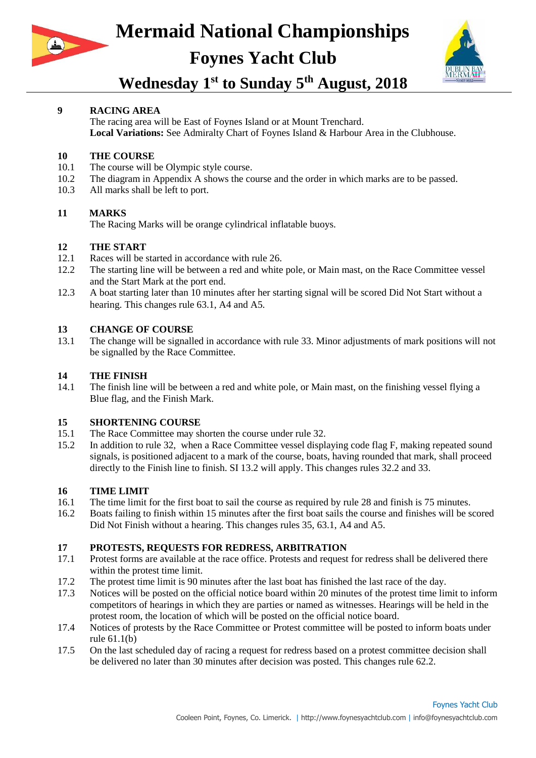

# **Mermaid National Championships Foynes Yacht Club**



### **Wednesday 1st to Sunday 5th August, 2018**

#### **9 RACING AREA**

The racing area will be East of Foynes Island or at Mount Trenchard. **Local Variations:** See Admiralty Chart of Foynes Island & Harbour Area in the Clubhouse.

#### **10 THE COURSE**

- 10.1 The course will be Olympic style course.
- 10.2 The diagram in Appendix A shows the course and the order in which marks are to be passed.
- 10.3 All marks shall be left to port.

#### **11 MARKS**

The Racing Marks will be orange cylindrical inflatable buoys.

#### **12 THE START**

- 12.1 Races will be started in accordance with rule 26.
- 12.2 The starting line will be between a red and white pole, or Main mast, on the Race Committee vessel and the Start Mark at the port end.
- 12.3 A boat starting later than 10 minutes after her starting signal will be scored Did Not Start without a hearing. This changes rule 63.1, A4 and A5.

#### **13 CHANGE OF COURSE**

13.1 The change will be signalled in accordance with rule 33. Minor adjustments of mark positions will not be signalled by the Race Committee.

#### **14 THE FINISH**

14.1 The finish line will be between a red and white pole, or Main mast, on the finishing vessel flying a Blue flag, and the Finish Mark.

#### **15 SHORTENING COURSE**

- 15.1 The Race Committee may shorten the course under rule 32.
- 15.2 In addition to rule 32, when a Race Committee vessel displaying code flag F, making repeated sound signals, is positioned adjacent to a mark of the course, boats, having rounded that mark, shall proceed directly to the Finish line to finish. SI 13.2 will apply. This changes rules 32.2 and 33.

#### **16 TIME LIMIT**

- 16.1 The time limit for the first boat to sail the course as required by rule 28 and finish is 75 minutes.
- 16.2 Boats failing to finish within 15 minutes after the first boat sails the course and finishes will be scored Did Not Finish without a hearing. This changes rules 35, 63.1, A4 and A5.

#### **17 PROTESTS, REQUESTS FOR REDRESS, ARBITRATION**

- 17.1 Protest forms are available at the race office. Protests and request for redress shall be delivered there within the protest time limit.
- 17.2 The protest time limit is 90 minutes after the last boat has finished the last race of the day.
- 17.3 Notices will be posted on the official notice board within 20 minutes of the protest time limit to inform competitors of hearings in which they are parties or named as witnesses. Hearings will be held in the protest room, the location of which will be posted on the official notice board.
- 17.4 Notices of protests by the Race Committee or Protest committee will be posted to inform boats under rule 61.1(b)
- 17.5 On the last scheduled day of racing a request for redress based on a protest committee decision shall be delivered no later than 30 minutes after decision was posted. This changes rule 62.2.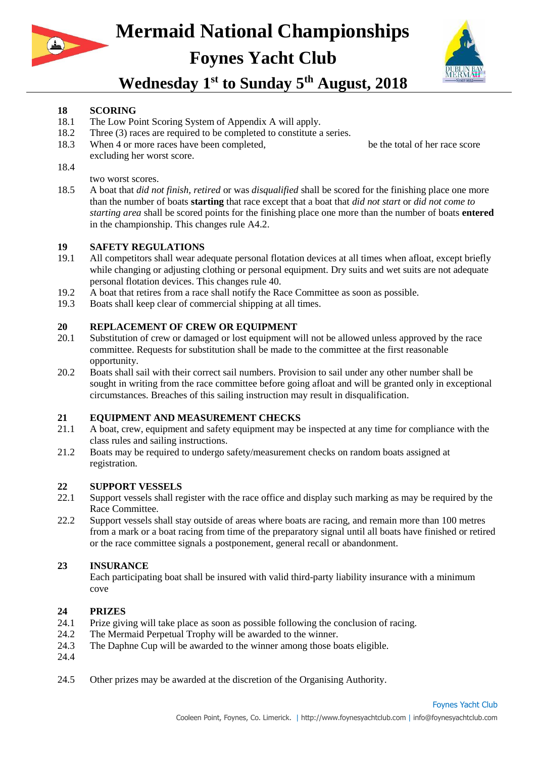

# **Mermaid National Championships Foynes Yacht Club**



### **Wednesday 1st to Sunday 5th August, 2018**

#### **18 SCORING**

- 18.1 The Low Point Scoring System of Appendix A will apply.
- 18.2 Three (3) races are required to be completed to constitute a series.
- 18.3 When 4 or more races have been completed, DERDWWULHWRUHZOO the total of her race score excluding her worst score.
- 18.4 ,IRUPRUHUDFHDUHFRPSOHWHGDERDWWULHWRUHZOOEHWKWRWDORIKUUDFHWRUHMFOGL two worst scores.
- 18.5 A boat that *did not finish, retired* or was *disqualified* shall be scored for the finishing place one more than the number of boats **starting** that race except that a boat that *did not start* or *did not come to starting area* shall be scored points for the finishing place one more than the number of boats **entered**  in the championship. This changes rule A4.2.

#### **19 SAFETY REGULATIONS**

- 19.1 All competitors shall wear adequate personal flotation devices at all times when afloat, except briefly while changing or adjusting clothing or personal equipment. Dry suits and wet suits are not adequate personal flotation devices. This changes rule 40.
- 19.2 A boat that retires from a race shall notify the Race Committee as soon as possible.
- 19.3 Boats shall keep clear of commercial shipping at all times.

#### **20 REPLACEMENT OF CREW OR EQUIPMENT**

- 20.1 Substitution of crew or damaged or lost equipment will not be allowed unless approved by the race committee. Requests for substitution shall be made to the committee at the first reasonable opportunity.
- 20.2 Boats shall sail with their correct sail numbers. Provision to sail under any other number shall be sought in writing from the race committee before going afloat and will be granted only in exceptional circumstances. Breaches of this sailing instruction may result in disqualification.

#### **21 EQUIPMENT AND MEASUREMENT CHECKS**

- 21.1 A boat, crew, equipment and safety equipment may be inspected at any time for compliance with the class rules and sailing instructions.
- 21.2 Boats may be required to undergo safety/measurement checks on random boats assigned at registration.

## **22 SUPPORT VESSELS**

- 22.1 Support vessels shall register with the race office and display such marking as may be required by the Race Committee.
- 22.2 Support vessels shall stay outside of areas where boats are racing, and remain more than 100 metres from a mark or a boat racing from time of the preparatory signal until all boats have finished or retired or the race committee signals a postponement, general recall or abandonment.

#### **23 INSURANCE**

Each participating boat shall be insured with valid third-party liability insurance with a minimum coveURISHUHYHWRUWKHTKYDOHW

#### **24 PRIZES**

- 24.1 Prize giving will take place as soon as possible following the conclusion of racing.
- 24.2 The Mermaid Perpetual Trophy will be awarded to the winner.
- 24.3 The Daphne Cup will be awarded to the winner among those boats eligible.
- 24.4 7KHMHUWDNDUGZOOEHDZUGHGWRWKZHUDPRWKMERDWMOLLEOH7KZHURIWK DSK&XZOOQWEHHOLLEOHWRZQWKHMQUWDQDUG
- 24.5 Other prizes may be awarded at the discretion of the Organising Authority.